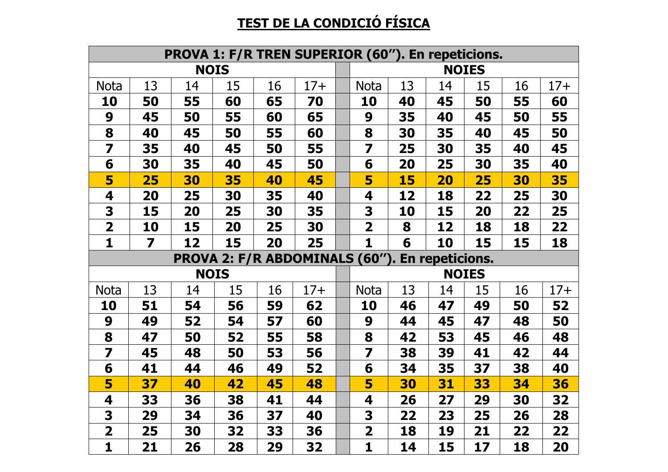## **TEST DE LA CONDICIÓ FÍSICA**

|                         |    | <b>PROVA 1: F/R TREN SUPERIOR (60"). En repeticions.</b> |    |    |                                                       |                         |    |           |              |    |       |
|-------------------------|----|----------------------------------------------------------|----|----|-------------------------------------------------------|-------------------------|----|-----------|--------------|----|-------|
|                         |    | <b>NOIS</b>                                              |    |    |                                                       |                         |    |           | <b>NOIES</b> |    |       |
| <b>Nota</b>             | 13 | 14                                                       | 15 | 16 | $17+$                                                 | <b>Nota</b>             | 13 | 14        | 15           | 16 | $17+$ |
| 10                      | 50 | 55                                                       | 60 | 65 | 70                                                    | 10                      | 40 | 45        | 50           | 55 | 60    |
| 9                       | 45 | 50                                                       | 55 | 60 | 65                                                    | 9                       | 35 | 40        | 45           | 50 | 55    |
| 8                       | 40 | 45                                                       | 50 | 55 | 60                                                    | 8                       | 30 | 35        | 40           | 45 | 50    |
| $\overline{\mathbf{z}}$ | 35 | 40                                                       | 45 | 50 | 55                                                    | $\overline{\mathbf{z}}$ | 25 | 30        | 35           | 40 | 45    |
| 6                       | 30 | 35                                                       | 40 | 45 | 50                                                    | 6                       | 20 | 25        | 30           | 35 | 40    |
| 5                       | 25 | 30                                                       | 35 | 40 | 45                                                    | 5                       | 15 | <b>20</b> | 25           | 30 | 35    |
| 4                       | 20 | 25                                                       | 30 | 35 | 40                                                    | 4                       | 12 | 18        | 22           | 25 | 30    |
| 3                       | 15 | 20                                                       | 25 | 30 | 35                                                    | 3                       | 10 | 15        | 20           | 22 | 25    |
| $\overline{\mathbf{2}}$ | 10 | 15                                                       | 20 | 25 | 30                                                    | 2                       | 8  | 12        | 18           | 18 | 22    |
| 1                       | 7  | 12                                                       | 15 | 20 | 25                                                    | $\mathbf{1}$            | 6  | 10        | 15           | 15 | 18    |
|                         |    |                                                          |    |    |                                                       |                         |    |           |              |    |       |
|                         |    |                                                          |    |    | <b>PROVA 2: F/R ABDOMINALS (60"). En repeticions.</b> |                         |    |           |              |    |       |
|                         |    | <b>NOIS</b>                                              |    |    |                                                       |                         |    |           | <b>NOIES</b> |    |       |
| <b>Nota</b>             | 13 | 14                                                       | 15 | 16 | $17+$                                                 | <b>Nota</b>             | 13 | 14        | 15           | 16 | $17+$ |
| 10                      | 51 | 54                                                       | 56 | 59 | 62                                                    | 10                      | 46 | 47        | 49           | 50 | 52    |
| 9                       | 49 | 52                                                       | 54 | 57 | 60                                                    | 9                       | 44 | 45        | 47           | 48 | 50    |
| 8                       | 47 | 50                                                       | 52 | 55 | 58                                                    | 8                       | 42 | 53        | 45           | 46 | 48    |
| $\overline{\mathbf{z}}$ | 45 | 48                                                       | 50 | 53 | 56                                                    | $\overline{\mathbf{z}}$ | 38 | 39        | 41           | 42 | 44    |
| 6                       | 41 | 44                                                       | 46 | 49 | 52                                                    | 6                       | 34 | 35        | 37           | 38 | 40    |
| 5                       | 37 | 40                                                       | 42 | 45 | 48                                                    | 5                       | 30 | 31        | 33           | 34 | 36    |
| 4                       | 33 | 36                                                       | 38 | 41 | 44                                                    | 4                       | 26 | 27        | 29           | 30 | 32    |
| 3                       | 29 | 34                                                       | 36 | 37 | 40                                                    | 3                       | 22 | 23        | 25           | 26 | 28    |
| $\overline{\mathbf{2}}$ | 25 | 30                                                       | 32 | 33 | 36                                                    | $\overline{\mathbf{2}}$ | 18 | 19        | 21           | 22 | 22    |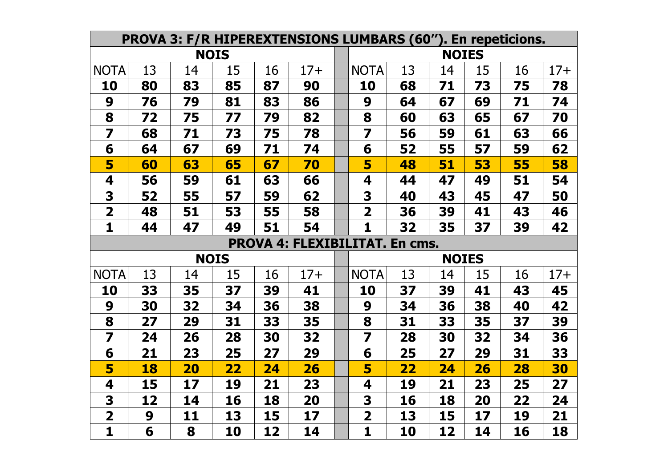|                         |    |    |             |    | <b>PROVA 3: F/R HIPEREXTENSIONS LUMBARS (60"). En repeticions.</b> |                         |    |              |    |    |       |
|-------------------------|----|----|-------------|----|--------------------------------------------------------------------|-------------------------|----|--------------|----|----|-------|
|                         |    |    | <b>NOIS</b> |    |                                                                    |                         |    | <b>NOIES</b> |    |    |       |
| <b>NOTA</b>             | 13 | 14 | 15          | 16 | $17+$                                                              | <b>NOTA</b>             | 13 | 14           | 15 | 16 | $17+$ |
| 10                      | 80 | 83 | 85          | 87 | 90                                                                 | 10                      | 68 | 71           | 73 | 75 | 78    |
| 9                       | 76 | 79 | 81          | 83 | 86                                                                 | 9                       | 64 | 67           | 69 | 71 | 74    |
| 8                       | 72 | 75 | 77          | 79 | 82                                                                 | 8                       | 60 | 63           | 65 | 67 | 70    |
| $\overline{\mathbf{z}}$ | 68 | 71 | 73          | 75 | 78                                                                 | $\overline{\mathbf{z}}$ | 56 | 59           | 61 | 63 | 66    |
| 6                       | 64 | 67 | 69          | 71 | 74                                                                 | 6                       | 52 | 55           | 57 | 59 | 62    |
| 5                       | 60 | 63 | 65          | 67 | 70                                                                 | 5                       | 48 | 51           | 53 | 55 | 58    |
| 4                       | 56 | 59 | 61          | 63 | 66                                                                 | 4                       | 44 | 47           | 49 | 51 | 54    |
| 3                       | 52 | 55 | 57          | 59 | 62                                                                 | 3                       | 40 | 43           | 45 | 47 | 50    |
| $\overline{\mathbf{2}}$ | 48 | 51 | 53          | 55 | 58                                                                 | $\overline{\mathbf{2}}$ | 36 | 39           | 41 | 43 | 46    |
| 1                       | 44 | 47 | 49          | 51 | 54                                                                 | $\mathbf{1}$            | 32 | 35           | 37 | 39 | 42    |
|                         |    |    |             |    |                                                                    |                         |    |              |    |    |       |
|                         |    |    |             |    | <b>PROVA 4: FLEXIBILITAT. En cms.</b>                              |                         |    |              |    |    |       |
|                         |    |    | <b>NOIS</b> |    |                                                                    |                         |    | <b>NOIES</b> |    |    |       |
| <b>NOTA</b>             | 13 | 14 | 15          | 16 | $17+$                                                              | <b>NOTA</b>             | 13 | 14           | 15 | 16 | $17+$ |
| 10                      | 33 | 35 | 37          | 39 | 41                                                                 | 10                      | 37 | 39           | 41 | 43 | 45    |
| 9                       | 30 | 32 | 34          | 36 | 38                                                                 | 9                       | 34 | 36           | 38 | 40 | 42    |
| 8                       | 27 | 29 | 31          | 33 | 35                                                                 | 8                       | 31 | 33           | 35 | 37 | 39    |
| 7                       | 24 | 26 | 28          | 30 | 32                                                                 | $\overline{\mathbf{z}}$ | 28 | 30           | 32 | 34 | 36    |
| 6                       | 21 | 23 | 25          | 27 | 29                                                                 | 6                       | 25 | 27           | 29 | 31 | 33    |
| 5                       | 18 | 20 | <u>22</u>   | 24 | 26                                                                 | 5                       | 22 | 24           | 26 | 28 | 30    |
| 4                       | 15 | 17 | 19          | 21 | 23                                                                 | 4                       | 19 | 21           | 23 | 25 | 27    |
| 3                       | 12 | 14 | 16          | 18 | 20                                                                 | 3                       | 16 | 18           | 20 | 22 | 24    |
| $\overline{\mathbf{2}}$ | 9  | 11 | 13          | 15 | 17                                                                 | $\overline{\mathbf{2}}$ | 13 | 15           | 17 | 19 | 21    |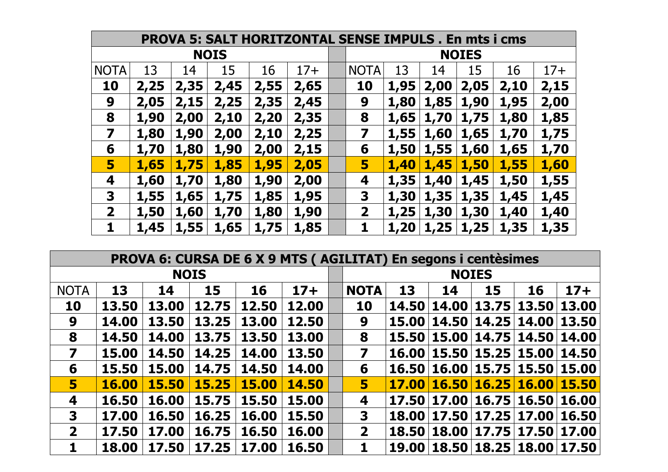|                         | <b>PROVA 5: SALT HORITZONTAL SENSE IMPULS, En mts i cms</b> |       |      |      |       |  |              |      |      |      |      |       |  |
|-------------------------|-------------------------------------------------------------|-------|------|------|-------|--|--------------|------|------|------|------|-------|--|
| <b>NOIS</b>             |                                                             |       |      |      |       |  | <b>NOIES</b> |      |      |      |      |       |  |
| <b>NOTA</b>             | 13                                                          | 14    | 15   | 16   | $17+$ |  | <b>NOTA</b>  | 13   | 14   | 15   | 16   | $17+$ |  |
| 10                      | 2,25                                                        | 2,35' | 2,45 | 2,55 | 2,65  |  | 10           | 1,95 | 2,00 | 2,05 | 2,10 | 2,15  |  |
| 9                       | 2,05                                                        | 2,15  | 2,25 | 2,35 | 2,45  |  | 9            | 1,80 | 1,85 | 1,90 | 1,95 | 2,00  |  |
| 8                       | 1,90                                                        | 2,00  | 2,10 | 2,20 | 2,35  |  | 8            | 1,65 | 1,70 | 1,75 | 1,80 | 1,85  |  |
| $\overline{\mathbf{z}}$ | 1,80                                                        | 1,90  | 2,00 | 2,10 | 2,25  |  | 7            | 1,55 | 1,60 | 1,65 | 1,70 | 1,75  |  |
| 6                       | 1,70                                                        | 1,80  | 1,90 | 2,00 | 2,15  |  | 6            | 1,50 | 1,55 | 1,60 | 1,65 | 1,70  |  |
| 5                       | 1,65                                                        | 1,75  | 1,85 | 1,95 | 2,05  |  | 5            | 1,40 | 1,45 | 1,50 | 1,55 | 1,60  |  |
| 4                       | 1,60                                                        | 1,70  | 1,80 | 1,90 | 2,00  |  | 4            | 1,35 | 1,40 | 1,45 | 1,50 | 1,55  |  |
| 3                       | 1,55                                                        | 1,65  | 1,75 | 1,85 | 1,95  |  | 3            | 1,30 | 1,35 | 1,35 | 1,45 | 1,45  |  |
| $\overline{\mathbf{2}}$ | 1,50                                                        | 1,60  | 1,70 | 1,80 | 1,90  |  | $\mathbf 2$  | 1,25 | 1,30 | 1,30 | 1,40 | 1,40  |  |
|                         | 1,45                                                        | 1,55  | 1,65 | 1,75 | 1,85  |  | 1            | 1,20 | 1,25 | 1,25 | 1,35 | 1,35  |  |

| <b>PROVA 6: CURSA DE 6 X 9 MTS (AGILITAT) En segons i centèsimes</b> |              |              |              |              |       |  |                         |              |                       |              |             |       |  |
|----------------------------------------------------------------------|--------------|--------------|--------------|--------------|-------|--|-------------------------|--------------|-----------------------|--------------|-------------|-------|--|
| <b>NOIS</b>                                                          |              |              |              |              |       |  | <b>NOIES</b>            |              |                       |              |             |       |  |
| <b>NOTA</b>                                                          | 13           | 14           | 15           | 16           | $17+$ |  | <b>NOTA</b>             | 13           | 14                    | 15           | 16          | $17+$ |  |
| <b>10</b>                                                            | 13.50        | 13.00        | 12.75        | 12.50        | 12.00 |  | 10                      | 14.50        | 14.00                 | 13.75        | 13.50       | 13.00 |  |
| 9                                                                    | 14.00        | 13.50        | 13.25        | 13.00        | 12.50 |  | 9                       | 15.00        | 14.50                 | 14.25        | 14.00       | 13.50 |  |
| 8                                                                    | 14.50        | 14.00        | 13.75        | 13.50        | 13.00 |  | 8                       |              | 15.50   15.00   14.75 |              | 14.50 14.00 |       |  |
| 7                                                                    | 15.00        | 14.50        | 14.25        | 14.00        | 13.50 |  | 7                       | 16.00        | 15.50 15.25           |              | 15.00 14.50 |       |  |
| 6                                                                    | 15.50        | 15.00        | 14.75        | 14.50        | 14.00 |  | 6                       | 16.50        |                       | 16.00 15.75  | 15.50 15.00 |       |  |
| 5                                                                    | <b>16.00</b> | <b>15.50</b> | <b>15.25</b> | <b>15.00</b> | 14.50 |  | 5                       | <b>17.00</b> | <b>16.50</b>          | <b>16.25</b> | 16.00       | 15.50 |  |
| 4                                                                    | 16.50        | 16.00        | 15.75        | 15.50        | 15.00 |  | 4                       | 17.50        |                       | 17.00 16.75  | 16.50       | 16.00 |  |
| 3                                                                    | 17.00        | 16.50        | 16.25        | 16.00        | 15.50 |  | 3                       | 18.00        | 17.50                 | 17.25        | 17.00       | 16.50 |  |
| $\overline{\mathbf{2}}$                                              | 17.50        | 17.00        | 16.75        | 16.50        | 16.00 |  | $\overline{\mathbf{2}}$ | 18.50        | 18.00                 | 17.75        | 17.50       | 17.00 |  |
| 1                                                                    | 18.00        | 17.50        | 17.25        | 17.00        | 16.50 |  |                         | <b>19.00</b> |                       | 18.50 18.25  | 18.00       | 17.50 |  |